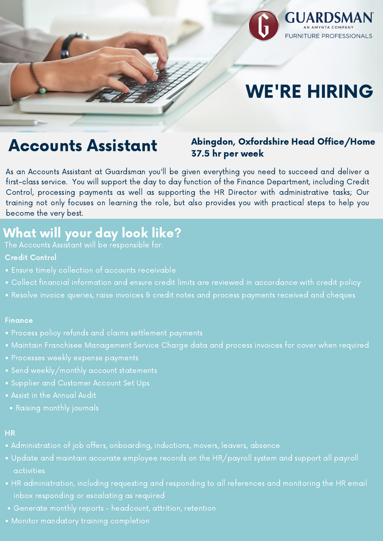

# WE'RE HIRING

As an Accounts Assistant at Guardsman you'll be given everything you need to succeed and deliver a first-class service. You will support the day to day function of the Finance Department, including Credit Control, processing payments as well as supporting the HR Director with administrative tasks; Our training not only focuses on learning the role, but also provides you with practical steps to help you become the very best.

# Accounts Assistant

### Abingdon, Oxfordshire Head Office/Home 37.5 hr per week

# What will your day look like?

The Accounts Assistant will be responsible for:

- Credit Control
- Ensure timely collection of accounts receivable
- Collect financial information and ensure credit limits are reviewed in accordance with credit policy

• Resolve invoice queries, raise invoices & credit notes and process payments received and cheques

#### Finance

- Process policy refunds and claims settlement payments
- Maintain Franchisee Management Service Charge data and process invoices for cover when required
- Processes weekly expense payments
- Send weekly/monthly account statements
- Supplier and Customer Account Set Ups
- Assist in the Annual Audit
- Raising monthly journals

### HR

- Administration of job offers, onboarding, inductions, movers, leavers, absence
- Update and maintain accurate employee records on the HR/payroll system and support all payroll activities
- HR administration, including requesting and responding to all references and monitoring the HR email inbox responding or escalating as required
- Generate monthly reports headcount, attrition, retention
- Monitor mandatory training completion